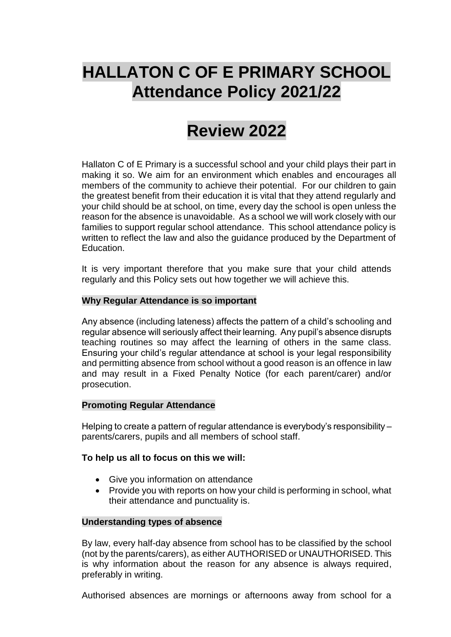# **HALLATON C OF E PRIMARY SCHOOL Attendance Policy 2021/22**

## **Review 2022**

Hallaton C of E Primary is a successful school and your child plays their part in making it so. We aim for an environment which enables and encourages all members of the community to achieve their potential. For our children to gain the greatest benefit from their education it is vital that they attend regularly and your child should be at school, on time, every day the school is open unless the reason for the absence is unavoidable. As a school we will work closely with our families to support regular school attendance. This school attendance policy is written to reflect the law and also the guidance produced by the Department of Education.

It is very important therefore that you make sure that your child attends regularly and this Policy sets out how together we will achieve this.

## **Why Regular Attendance is so important**

Any absence (including lateness) affects the pattern of a child's schooling and regular absence will seriously affect their learning. Any pupil's absence disrupts teaching routines so may affect the learning of others in the same class. Ensuring your child's regular attendance at school is your legal responsibility and permitting absence from school without a good reason is an offence in law and may result in a Fixed Penalty Notice (for each parent/carer) and/or prosecution.

## **Promoting Regular Attendance**

Helping to create a pattern of regular attendance is everybody's responsibility – parents/carers, pupils and all members of school staff.

## **To help us all to focus on this we will:**

- Give you information on attendance
- Provide you with reports on how your child is performing in school, what their attendance and punctuality is.

## **Understanding types of absence**

By law, every half-day absence from school has to be classified by the school (not by the parents/carers), as either AUTHORISED or UNAUTHORISED. This is why information about the reason for any absence is always required, preferably in writing.

Authorised absences are mornings or afternoons away from school for a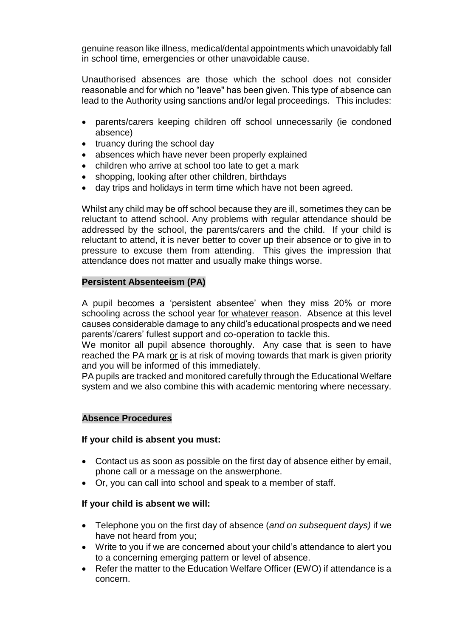genuine reason like illness, medical/dental appointments which unavoidably fall in school time, emergencies or other unavoidable cause.

Unauthorised absences are those which the school does not consider reasonable and for which no "leave" has been given. This type of absence can lead to the Authority using sanctions and/or legal proceedings. This includes:

- parents/carers keeping children off school unnecessarily (ie condoned absence)
- truancy during the school day
- absences which have never been properly explained
- children who arrive at school too late to get a mark
- shopping, looking after other children, birthdays
- day trips and holidays in term time which have not been agreed.

Whilst any child may be off school because they are ill, sometimes they can be reluctant to attend school. Any problems with regular attendance should be addressed by the school, the parents/carers and the child. If your child is reluctant to attend, it is never better to cover up their absence or to give in to pressure to excuse them from attending. This gives the impression that attendance does not matter and usually make things worse.

## **Persistent Absenteeism (PA)**

A pupil becomes a 'persistent absentee' when they miss 20% or more schooling across the school year for whatever reason. Absence at this level causes considerable damage to any child's educational prospects and we need parents'/carers' fullest support and co-operation to tackle this.

We monitor all pupil absence thoroughly. Any case that is seen to have reached the PA mark or is at risk of moving towards that mark is given priority and you will be informed of this immediately.

PA pupils are tracked and monitored carefully through the Educational Welfare system and we also combine this with academic mentoring where necessary.

#### **Absence Procedures**

## **If your child is absent you must:**

- Contact us as soon as possible on the first day of absence either by email, phone call or a message on the answerphone.
- Or, you can call into school and speak to a member of staff.

## **If your child is absent we will:**

- Telephone you on the first day of absence (*and on subsequent days)* if we have not heard from you;
- Write to you if we are concerned about your child's attendance to alert you to a concerning emerging pattern or level of absence.
- Refer the matter to the Education Welfare Officer (EWO) if attendance is a concern.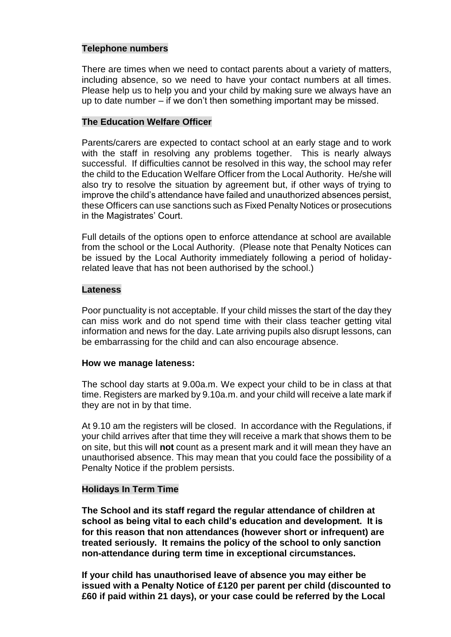## **Telephone numbers**

There are times when we need to contact parents about a variety of matters, including absence, so we need to have your contact numbers at all times. Please help us to help you and your child by making sure we always have an up to date number – if we don't then something important may be missed.

#### **The Education Welfare Officer**

Parents/carers are expected to contact school at an early stage and to work with the staff in resolving any problems together. This is nearly always successful. If difficulties cannot be resolved in this way, the school may refer the child to the Education Welfare Officer from the Local Authority. He/she will also try to resolve the situation by agreement but, if other ways of trying to improve the child's attendance have failed and unauthorized absences persist, these Officers can use sanctions such as Fixed Penalty Notices or prosecutions in the Magistrates' Court.

Full details of the options open to enforce attendance at school are available from the school or the Local Authority. (Please note that Penalty Notices can be issued by the Local Authority immediately following a period of holidayrelated leave that has not been authorised by the school.)

#### **Lateness**

Poor punctuality is not acceptable. If your child misses the start of the day they can miss work and do not spend time with their class teacher getting vital information and news for the day. Late arriving pupils also disrupt lessons, can be embarrassing for the child and can also encourage absence.

#### **How we manage lateness:**

The school day starts at 9.00a.m. We expect your child to be in class at that time. Registers are marked by 9.10a.m. and your child will receive a late mark if they are not in by that time.

At 9.10 am the registers will be closed. In accordance with the Regulations, if your child arrives after that time they will receive a mark that shows them to be on site, but this will **not** count as a present mark and it will mean they have an unauthorised absence. This may mean that you could face the possibility of a Penalty Notice if the problem persists.

#### **Holidays In Term Time**

**The School and its staff regard the regular attendance of children at school as being vital to each child's education and development. It is for this reason that non attendances (however short or infrequent) are treated seriously. It remains the policy of the school to only sanction non-attendance during term time in exceptional circumstances.**

**If your child has unauthorised leave of absence you may either be issued with a Penalty Notice of £120 per parent per child (discounted to £60 if paid within 21 days), or your case could be referred by the Local**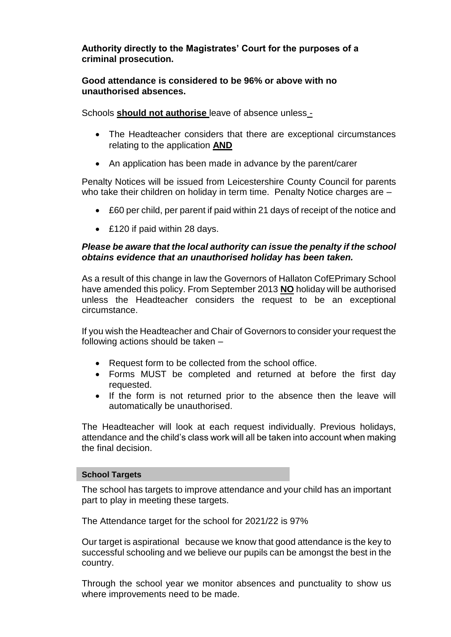**Authority directly to the Magistrates' Court for the purposes of a criminal prosecution.**

**Good attendance is considered to be 96% or above with no unauthorised absences.** 

Schools **should not authorise** leave of absence unless -

- The Headteacher considers that there are exceptional circumstances relating to the application **AND**
- An application has been made in advance by the parent/carer

Penalty Notices will be issued from Leicestershire County Council for parents who take their children on holiday in term time. Penalty Notice charges are -

- £60 per child, per parent if paid within 21 days of receipt of the notice and
- £120 if paid within 28 days.

## *Please be aware that the local authority can issue the penalty if the school obtains evidence that an unauthorised holiday has been taken.*

As a result of this change in law the Governors of Hallaton CofEPrimary School have amended this policy. From September 2013 **NO** holiday will be authorised unless the Headteacher considers the request to be an exceptional circumstance.

If you wish the Headteacher and Chair of Governors to consider your request the following actions should be taken –

- Request form to be collected from the school office.
- Forms MUST be completed and returned at before the first day requested.
- If the form is not returned prior to the absence then the leave will automatically be unauthorised.

The Headteacher will look at each request individually. Previous holidays, attendance and the child's class work will all be taken into account when making the final decision.

#### **School Targets**

The school has targets to improve attendance and your child has an important part to play in meeting these targets.

The Attendance target for the school for 2021/22 is 97%

Our target is aspirational because we know that good attendance is the key to successful schooling and we believe our pupils can be amongst the best in the country.

Through the school year we monitor absences and punctuality to show us where improvements need to be made.